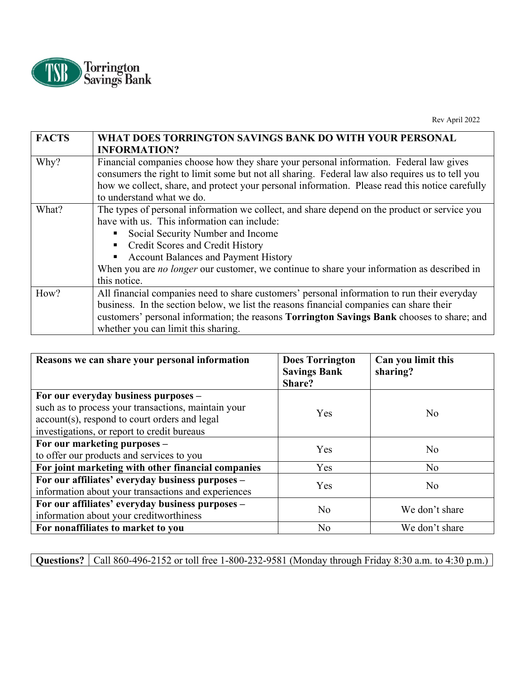

Rev April 2022

| <b>FACTS</b> | WHAT DOES TORRINGTON SAVINGS BANK DO WITH YOUR PERSONAL<br><b>INFORMATION?</b>                                                                                                                                                                                                                                                                                                    |
|--------------|-----------------------------------------------------------------------------------------------------------------------------------------------------------------------------------------------------------------------------------------------------------------------------------------------------------------------------------------------------------------------------------|
| Why?         | Financial companies choose how they share your personal information. Federal law gives<br>consumers the right to limit some but not all sharing. Federal law also requires us to tell you<br>how we collect, share, and protect your personal information. Please read this notice carefully<br>to understand what we do.                                                         |
| What?        | The types of personal information we collect, and share depend on the product or service you<br>have with us. This information can include:<br>Social Security Number and Income<br>Credit Scores and Credit History<br>Account Balances and Payment History<br>When you are <i>no longer</i> our customer, we continue to share your information as described in<br>this notice. |
| How?         | All financial companies need to share customers' personal information to run their everyday<br>business. In the section below, we list the reasons financial companies can share their<br>customers' personal information; the reasons <b>Torrington Savings Bank</b> chooses to share; and<br>whether you can limit this sharing.                                                |

| Reasons we can share your personal information                                                          | <b>Does Torrington</b><br><b>Savings Bank</b><br>Share? | Can you limit this<br>sharing? |
|---------------------------------------------------------------------------------------------------------|---------------------------------------------------------|--------------------------------|
| For our everyday business purposes -<br>such as to process your transactions, maintain your             | Yes                                                     | N <sub>o</sub>                 |
| account(s), respond to court orders and legal<br>investigations, or report to credit bureaus            |                                                         |                                |
| For our marketing purposes –<br>to offer our products and services to you                               | Yes                                                     | N <sub>o</sub>                 |
| For joint marketing with other financial companies                                                      | Yes                                                     | N <sub>o</sub>                 |
| For our affiliates' everyday business purposes -<br>information about your transactions and experiences | Yes                                                     | N <sub>o</sub>                 |
| For our affiliates' everyday business purposes -<br>information about your creditworthiness             | N <sub>o</sub>                                          | We don't share                 |
| For nonaffiliates to market to you                                                                      | N <sub>o</sub>                                          | We don't share                 |

**Questions?** Call 860-496-2152 or toll free 1-800-232-9581 (Monday through Friday 8:30 a.m. to 4:30 p.m.)